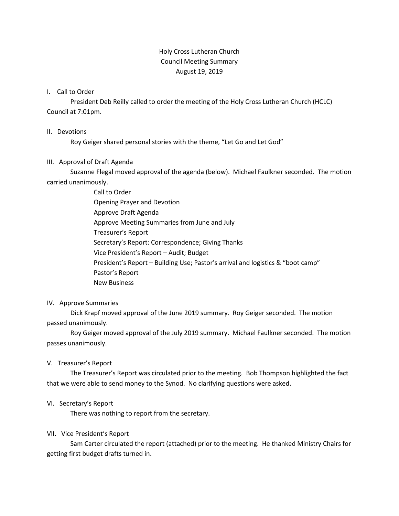# Holy Cross Lutheran Church Council Meeting Summary August 19, 2019

# I. Call to Order

President Deb Reilly called to order the meeting of the Holy Cross Lutheran Church (HCLC) Council at 7:01pm.

#### II. Devotions

Roy Geiger shared personal stories with the theme, "Let Go and Let God"

# III. Approval of Draft Agenda

Suzanne Flegal moved approval of the agenda (below). Michael Faulkner seconded. The motion carried unanimously.

> Call to Order Opening Prayer and Devotion Approve Draft Agenda Approve Meeting Summaries from June and July Treasurer's Report Secretary's Report: Correspondence; Giving Thanks Vice President's Report – Audit; Budget President's Report – Building Use; Pastor's arrival and logistics & "boot camp" Pastor's Report New Business

# IV. Approve Summaries

Dick Krapf moved approval of the June 2019 summary. Roy Geiger seconded. The motion passed unanimously.

Roy Geiger moved approval of the July 2019 summary. Michael Faulkner seconded. The motion passes unanimously.

# V. Treasurer's Report

The Treasurer's Report was circulated prior to the meeting. Bob Thompson highlighted the fact that we were able to send money to the Synod. No clarifying questions were asked.

# VI. Secretary's Report

There was nothing to report from the secretary.

# VII. Vice President's Report

Sam Carter circulated the report (attached) prior to the meeting. He thanked Ministry Chairs for getting first budget drafts turned in.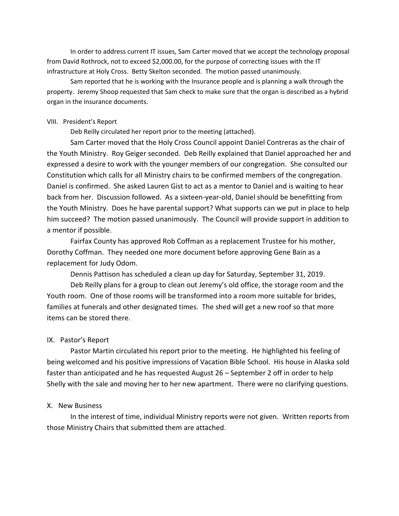In order to address current IT issues, Sam Carter moved that we accept the technology proposal from David Rothrock, not to exceed \$2,000.00, for the purpose of correcting issues with the IT infrastructure at Holy Cross. Betty Skelton seconded. The motion passed unanimously.

Sam reported that he is working with the Insurance people and is planning a walk through the property. Jeremy Shoop requested that Sam check to make sure that the organ is described as a hybrid organ in the insurance documents.

#### VIII. President's Report

Deb Reilly circulated her report prior to the meeting (attached).

Sam Carter moved that the Holy Cross Council appoint Daniel Contreras as the chair of the Youth Ministry. Roy Geiger seconded. Deb Reilly explained that Daniel approached her and expressed a desire to work with the younger members of our congregation. She consulted our Constitution which calls for all Ministry chairs to be confirmed members of the congregation. Daniel is confirmed. She asked Lauren Gist to act as a mentor to Daniel and is waiting to hear back from her. Discussion followed. As a sixteen-year-old, Daniel should be benefitting from the Youth Ministry. Does he have parental support? What supports can we put in place to help him succeed? The motion passed unanimously. The Council will provide support in addition to a mentor if possible.

Fairfax County has approved Rob Coffman as a replacement Trustee for his mother, Dorothy Coffman. They needed one more document before approving Gene Bain as a replacement for Judy Odom.

Dennis Pattison has scheduled a clean up day for Saturday, September 31, 2019.

Deb Reilly plans for a group to clean out Jeremy's old office, the storage room and the Youth room. One of those rooms will be transformed into a room more suitable for brides, families at funerals and other designated times. The shed will get a new roof so that more items can be stored there.

#### IX. Pastor's Report

Pastor Martin circulated his report prior to the meeting. He highlighted his feeling of being welcomed and his positive impressions of Vacation Bible School. His house in Alaska sold faster than anticipated and he has requested August 26 – September 2 off in order to help Shelly with the sale and moving her to her new apartment. There were no clarifying questions.

#### X. New Business

In the interest of time, individual Ministry reports were not given. Written reports from those Ministry Chairs that submitted them are attached.